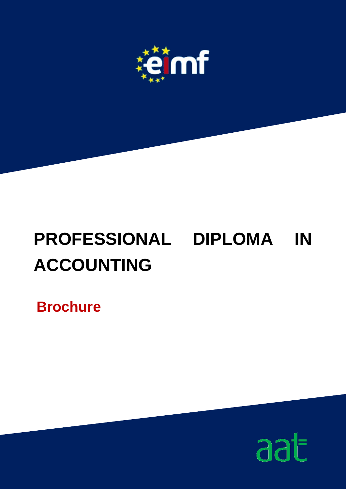

# **PROFESSIONAL DIPLOMA IN ACCOUNTING**

**Brochure**

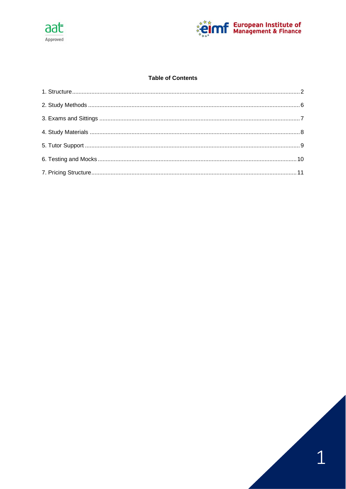



# **Table of Contents**

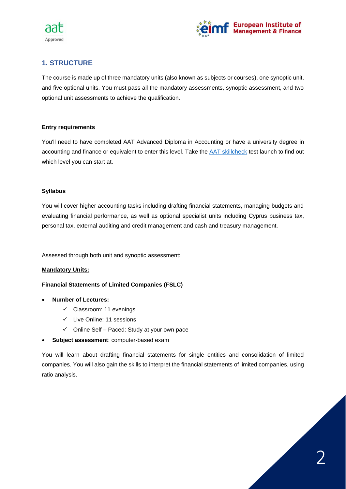



# <span id="page-2-0"></span>**1. STRUCTURE**

The course is made up of three mandatory units (also known as subjects or courses), one synoptic unit, and five optional units. You must pass all the mandatory assessments, synoptic assessment, and two optional unit assessments to achieve the qualification.

#### **Entry requirements**

You'll need to have completed AAT Advanced Diploma in Accounting or have a university degree in accounting and finance or equivalent to enter this level. Take the [AAT skillcheck](https://www.aat.org.uk/aat-qualifications-and-courses/need-help-choosing-a-qualification/aat-skillcheck) test launch to find out which level you can start at.

# **Syllabus**

You will cover higher accounting tasks including drafting financial statements, managing budgets and evaluating financial performance, as well as optional specialist units including Cyprus business tax, personal tax, external auditing and credit management and cash and treasury management.

Assessed through both unit and synoptic assessment:

# **Mandatory Units:**

#### **Financial Statements of Limited Companies (FSLC)**

- **Number of Lectures:**
	- ✓ Classroom: 11 evenings
	- ✓ Live Online: 11 sessions
	- ✓ Online Self Paced: Study at your own pace
- **Subject assessment**: computer-based exam

You will learn about drafting financial statements for single entities and consolidation of limited companies. You will also gain the skills to interpret the financial statements of limited companies, using ratio analysis.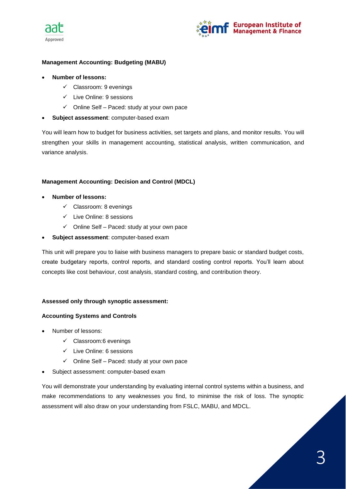



# **Management Accounting: Budgeting (MABU)**

- **Number of lessons:**
	- ✓ Classroom: 9 evenings
	- ✓ Live Online: 9 sessions
	- $\checkmark$  Online Self Paced: study at your own pace
- **Subject assessment**: computer-based exam

You will learn how to budget for business activities, set targets and plans, and monitor results. You will strengthen your skills in management accounting, statistical analysis, written communication, and variance analysis.

# **Management Accounting: Decision and Control (MDCL)**

- **Number of lessons:**
	- ✓ Classroom: 8 evenings
	- ✓ Live Online: 8 sessions
	- ✓ Online Self Paced: study at your own pace
- **Subject assessment**: computer-based exam

This unit will prepare you to liaise with business managers to prepare basic or standard budget costs, create budgetary reports, control reports, and standard costing control reports. You'll learn about concepts like cost behaviour, cost analysis, standard costing, and contribution theory.

#### **Assessed only through synoptic assessment:**

#### **Accounting Systems and Controls**

- Number of lessons:
	- ✓ Classroom:6 evenings
	- ✓ Live Online: 6 sessions
	- ✓ Online Self Paced: study at your own pace
- Subject assessment: computer-based exam

You will demonstrate your understanding by evaluating internal control systems within a business, and make recommendations to any weaknesses you find, to minimise the risk of loss. The synoptic assessment will also draw on your understanding from FSLC, MABU, and MDCL.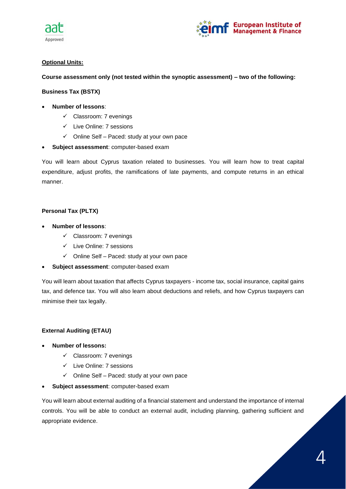



# **Optional Units:**

**Course assessment only (not tested within the synoptic assessment) – two of the following:**

## **Business Tax (BSTX)**

- **Number of lessons**:
	- ✓ Classroom: 7 evenings
	- ✓ Live Online: 7 sessions
	- $\checkmark$  Online Self Paced: study at your own pace
- **Subject assessment**: computer-based exam

You will learn about Cyprus taxation related to businesses. You will learn how to treat capital expenditure, adjust profits, the ramifications of late payments, and compute returns in an ethical manner.

# **Personal Tax (PLTX)**

- **Number of lessons**:
	- ✓ Classroom: 7 evenings
	- ✓ Live Online: 7 sessions
	- ✓ Online Self Paced: study at your own pace
- **Subject assessment**: computer-based exam

You will learn about taxation that affects Cyprus taxpayers - income tax, social insurance, capital gains tax, and defence tax. You will also learn about deductions and reliefs, and how Cyprus taxpayers can minimise their tax legally.

# **External Auditing (ETAU)**

- **Number of lessons:**
	- ✓ Classroom: 7 evenings
	- ✓ Live Online: 7 sessions
	- ✓ Online Self Paced: study at your own pace
- **Subject assessment**: computer-based exam

You will learn about external auditing of a financial statement and understand the importance of internal controls. You will be able to conduct an external audit, including planning, gathering sufficient and appropriate evidence.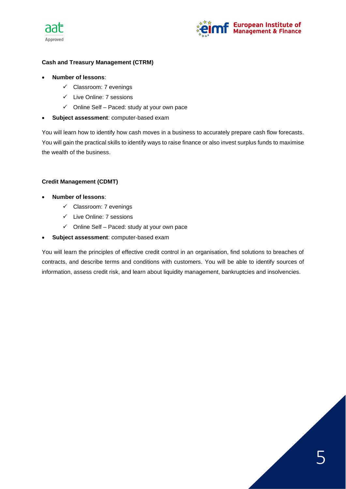



# **Cash and Treasury Management (CTRM)**

- **Number of lessons**:
	- ✓ Classroom: 7 evenings
	- ✓ Live Online: 7 sessions
	- $\checkmark$  Online Self Paced: study at your own pace
- **Subject assessment**: computer-based exam

You will learn how to identify how cash moves in a business to accurately prepare cash flow forecasts. You will gain the practical skills to identify ways to raise finance or also invest surplus funds to maximise the wealth of the business.

# **Credit Management (CDMT)**

- **Number of lessons**:
	- ✓ Classroom: 7 evenings
	- ✓ Live Online: 7 sessions
	- ✓ Online Self Paced: study at your own pace
- **Subject assessment**: computer-based exam

You will learn the principles of effective credit control in an organisation, find solutions to breaches of contracts, and describe terms and conditions with customers. You will be able to identify sources of information, assess credit risk, and learn about liquidity management, bankruptcies and insolvencies.

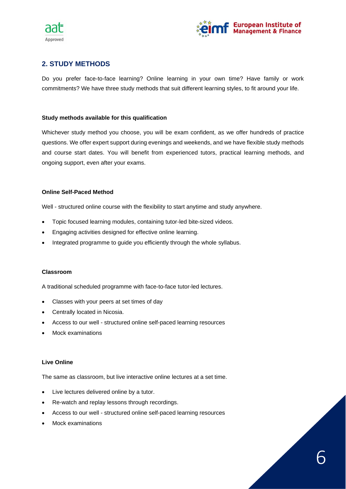



# <span id="page-6-0"></span>**2. STUDY METHODS**

Do you prefer face-to-face learning? Online learning in your own time? Have family or work commitments? We have three study methods that suit different learning styles, to fit around your life.

#### **Study methods available for this qualification**

Whichever study method you choose, you will be exam confident, as we offer hundreds of practice questions. We offer expert support during evenings and weekends, and we have flexible study methods and course start dates. You will benefit from experienced tutors, practical learning methods, and ongoing support, even after your exams.

#### **Online Self-Paced Method**

Well - structured online course with the flexibility to start anytime and study anywhere.

- Topic focused learning modules, containing tutor-led bite-sized videos.
- Engaging activities designed for effective online learning.
- Integrated programme to guide you efficiently through the whole syllabus.

#### **Classroom**

A traditional scheduled programme with face-to-face tutor-led lectures.

- Classes with your peers at set times of day
- Centrally located in Nicosia.
- Access to our well structured online self-paced learning resources
- Mock examinations

#### **Live Online**

The same as classroom, but live interactive online lectures at a set time.

- Live lectures delivered online by a tutor.
- Re-watch and replay lessons through recordings.
- Access to our well structured online self-paced learning resources
- Mock examinations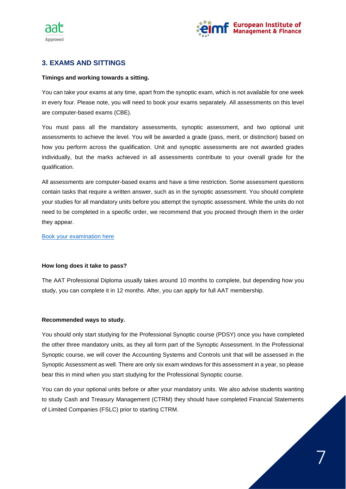



# <span id="page-7-0"></span>**3. EXAMS AND SITTINGS**

#### **Timings and working towards a sitting.**

You can take your exams at any time, apart from the synoptic exam, which is not available for one week in every four. Please note, you will need to book your exams separately. All assessments on this level are computer-based exams (CBE).

You must pass all the mandatory assessments, synoptic assessment, and two optional unit assessments to achieve the level. You will be awarded a grade (pass, merit, or distinction) based on how you perform across the qualification. Unit and synoptic assessments are not awarded grades individually, but the marks achieved in all assessments contribute to your overall grade for the qualification.

All assessments are computer-based exams and have a time restriction. Some assessment questions contain tasks that require a written answer, such as in the synoptic assessment. You should complete your studies for all mandatory units before you attempt the synoptic assessment. While the units do not need to be completed in a specific order, we recommend that you proceed through them in the order they appear.

[Book your examination here](https://eimf.eu/aat-examination-registration-form/)

#### **How long does it take to pass?**

The AAT Professional Diploma usually takes around 10 months to complete, but depending how you study, you can complete it in 12 months. After, you can apply for full AAT membership.

#### **Recommended ways to study.**

You should only start studying for the Professional Synoptic course (PDSY) once you have completed the other three mandatory units, as they all form part of the Synoptic Assessment. In the Professional Synoptic course, we will cover the Accounting Systems and Controls unit that will be assessed in the Synoptic Assessment as well. There are only six exam windows for this assessment in a year, so please bear this in mind when you start studying for the Professional Synoptic course.

You can do your optional units before or after your mandatory units. We also advise students wanting to study Cash and Treasury Management (CTRM) they should have completed Financial Statements of Limited Companies (FSLC) prior to starting CTRM.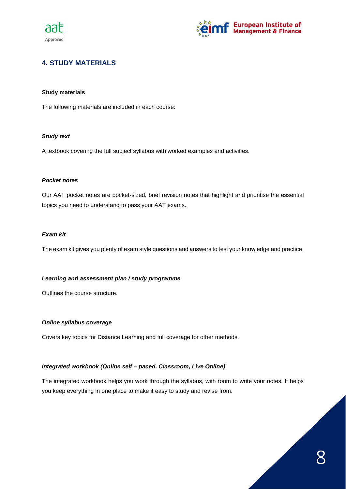



# <span id="page-8-0"></span>**4. STUDY MATERIALS**

#### **Study materials**

The following materials are included in each course:

#### *Study text*

A textbook covering the full subject syllabus with worked examples and activities.

#### *Pocket notes*

Our AAT pocket notes are pocket-sized, brief revision notes that highlight and prioritise the essential topics you need to understand to pass your AAT exams.

#### *Exam kit*

The exam kit gives you plenty of exam style questions and answers to test your knowledge and practice.

#### *Learning and assessment plan / study programme*

Outlines the course structure.

#### *Online syllabus coverage*

Covers key topics for Distance Learning and full coverage for other methods.

#### *Integrated workbook (Online self – paced, Classroom, Live Online)*

The integrated workbook helps you work through the syllabus, with room to write your notes. It helps you keep everything in one place to make it easy to study and revise from.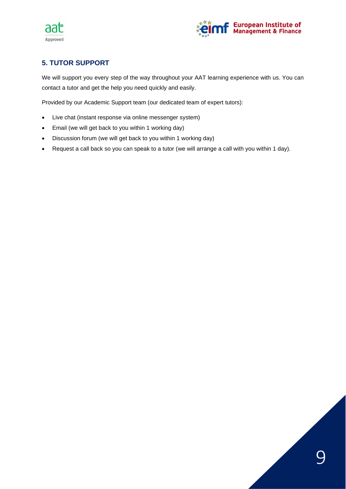



# <span id="page-9-0"></span>**5. TUTOR SUPPORT**

We will support you every step of the way throughout your AAT learning experience with us. You can contact a tutor and get the help you need quickly and easily.

Provided by our Academic Support team (our dedicated team of expert tutors):

- Live chat (instant response via online messenger system)
- Email (we will get back to you within 1 working day)
- Discussion forum (we will get back to you within 1 working day)
- Request a call back so you can speak to a tutor (we will arrange a call with you within 1 day).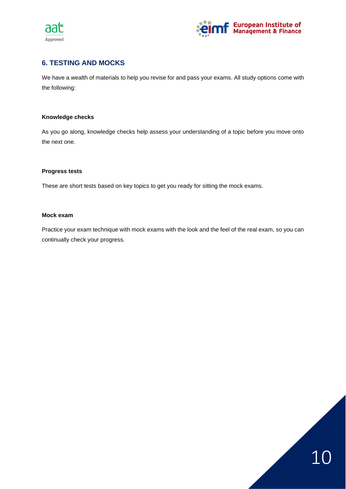



# <span id="page-10-0"></span>**6. TESTING AND MOCKS**

We have a wealth of materials to help you revise for and pass your exams. All study options come with the following:

#### **Knowledge checks**

As you go along, knowledge checks help assess your understanding of a topic before you move onto the next one.

#### **Progress tests**

These are short tests based on key topics to get you ready for sitting the mock exams.

#### **Mock exam**

Practice your exam technique with mock exams with the look and the feel of the real exam, so you can continually check your progress.